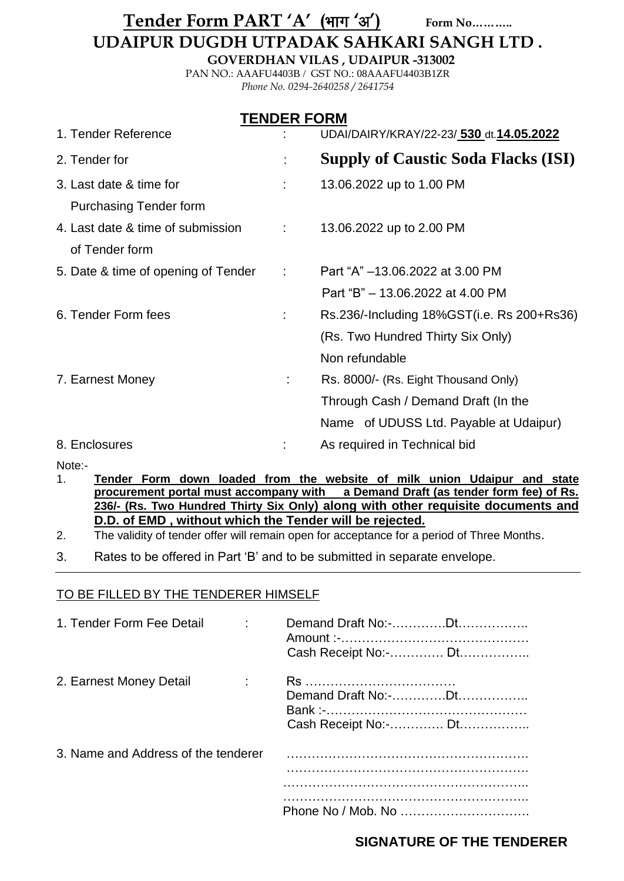# Tender Form PART 'A' (भाग 'अ') Form No............

# **UDAIPUR DUGDH UTPADAK SAHKARI SANGH LTD .**

**GOVERDHAN VILAS , UDAIPUR -313002**

PAN NO.: AAAFU4403B / GST NO.: 08AAAFU4403B1ZR *Phone No. 0294-2640258 / 2641754*

| <b>TENDER FORM</b>                  |                                           |                                            |  |  |  |
|-------------------------------------|-------------------------------------------|--------------------------------------------|--|--|--|
| 1. Tender Reference                 |                                           | UDAI/DAIRY/KRAY/22-23/ 530 dt. 14.05.2022  |  |  |  |
| 2. Tender for                       |                                           | <b>Supply of Caustic Soda Flacks (ISI)</b> |  |  |  |
| 3. Last date & time for             |                                           | 13.06.2022 up to 1.00 PM                   |  |  |  |
| <b>Purchasing Tender form</b>       |                                           |                                            |  |  |  |
| 4. Last date & time of submission   | $\Delta \sim 10^{-11}$                    | 13.06.2022 up to 2.00 PM                   |  |  |  |
| of Tender form                      |                                           |                                            |  |  |  |
| 5. Date & time of opening of Tender | $\mathcal{L}^{\text{max}}_{\text{max}}$ . | Part "A" -13.06.2022 at 3.00 PM            |  |  |  |
|                                     |                                           | Part "B" - 13.06.2022 at 4.00 PM           |  |  |  |
| 6. Tender Form fees                 | ÷                                         | Rs.236/-Including 18%GST(i.e. Rs 200+Rs36) |  |  |  |
|                                     |                                           | (Rs. Two Hundred Thirty Six Only)          |  |  |  |
|                                     |                                           | Non refundable                             |  |  |  |
| 7. Earnest Money                    | ÷.                                        | Rs. 8000/- (Rs. Eight Thousand Only)       |  |  |  |
|                                     |                                           | Through Cash / Demand Draft (In the        |  |  |  |
|                                     |                                           | Name of UDUSS Ltd. Payable at Udaipur)     |  |  |  |
| 8. Enclosures                       |                                           | As required in Technical bid               |  |  |  |

Note:-

1. **Tender Form down loaded from the website of milk union Udaipur and state procurement portal must accompany with a Demand Draft (as tender form fee) of Rs. 236/- (Rs. Two Hundred Thirty Six Only) along with other requisite documents and D.D. of EMD , without which the Tender will be rejected.**

2. The validity of tender offer will remain open for acceptance for a period of Three Months.

3. Rates to be offered in Part "B" and to be submitted in separate envelope.

### TO BE FILLED BY THE TENDERER HIMSELF

| 1. Tender Form Fee Detail           | Demand Draft No:-Dt<br>Cash Receipt No:- Dt |
|-------------------------------------|---------------------------------------------|
| 2. Earnest Money Detail             | Cash Receipt No:- Dt                        |
| 3. Name and Address of the tenderer |                                             |
|                                     |                                             |

## **SIGNATURE OF THE TENDERER**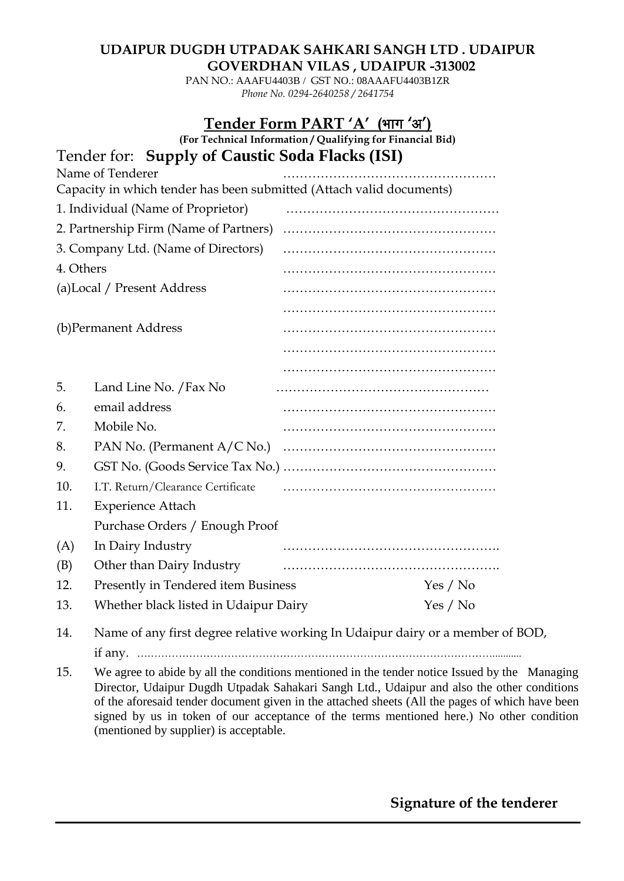### **UDAIPUR DUGDH UTPADAK SAHKARI SANGH LTD . UDAIPUR GOVERDHAN VILAS , UDAIPUR -313002**

PAN NO.: AAAFU4403B / GST NO.: 08AAAFU4403B1ZR *Phone No. 0294-2640258 / 2641754*

## Tender Form PART 'A' (भाग 'अ')

**(For Technical Information / Qualifying for Financial Bid)**  $T = \text{C} \cap \text{S} \cup \text{C}$ 

|           | Tender for: Supply of Caustic Soda Flacks (ISI)                                                                                                                                                                                                                                               |  |          |
|-----------|-----------------------------------------------------------------------------------------------------------------------------------------------------------------------------------------------------------------------------------------------------------------------------------------------|--|----------|
|           | Name of Tenderer                                                                                                                                                                                                                                                                              |  |          |
|           | Capacity in which tender has been submitted (Attach valid documents)                                                                                                                                                                                                                          |  |          |
|           | 1. Individual (Name of Proprietor)                                                                                                                                                                                                                                                            |  |          |
|           | 2. Partnership Firm (Name of Partners)                                                                                                                                                                                                                                                        |  |          |
|           | 3. Company Ltd. (Name of Directors)                                                                                                                                                                                                                                                           |  |          |
| 4. Others |                                                                                                                                                                                                                                                                                               |  |          |
|           | (a)Local / Present Address                                                                                                                                                                                                                                                                    |  |          |
|           |                                                                                                                                                                                                                                                                                               |  |          |
|           | (b) Permanent Address                                                                                                                                                                                                                                                                         |  |          |
|           |                                                                                                                                                                                                                                                                                               |  |          |
|           |                                                                                                                                                                                                                                                                                               |  |          |
| 5.        | Land Line No. / Fax No                                                                                                                                                                                                                                                                        |  |          |
| 6.        | email address                                                                                                                                                                                                                                                                                 |  |          |
| 7.        | Mobile No.                                                                                                                                                                                                                                                                                    |  |          |
| 8.        | PAN No. (Permanent A/C No.)                                                                                                                                                                                                                                                                   |  |          |
| 9.        |                                                                                                                                                                                                                                                                                               |  |          |
| 10.       | I.T. Return/Clearance Certificate                                                                                                                                                                                                                                                             |  |          |
| 11.       | <b>Experience Attach</b>                                                                                                                                                                                                                                                                      |  |          |
|           | Purchase Orders / Enough Proof                                                                                                                                                                                                                                                                |  |          |
| (A)       | In Dairy Industry                                                                                                                                                                                                                                                                             |  |          |
| (B)       | Other than Dairy Industry                                                                                                                                                                                                                                                                     |  |          |
| 12.       | Presently in Tendered item Business                                                                                                                                                                                                                                                           |  | Yes / No |
| 13.       | Whether black listed in Udaipur Dairy                                                                                                                                                                                                                                                         |  | Yes / No |
|           | $\frac{1}{2}$ and $\frac{1}{2}$ and $\frac{1}{2}$ and $\frac{1}{2}$ and $\frac{1}{2}$ and $\frac{1}{2}$ and $\frac{1}{2}$ and $\frac{1}{2}$ and $\frac{1}{2}$ and $\frac{1}{2}$ and $\frac{1}{2}$ and $\frac{1}{2}$ and $\frac{1}{2}$ and $\frac{1}{2}$ and $\frac{1}{2}$ and $\frac{1}{2}$ a |  |          |

14. Name of any first degree relative working In Udaipur dairy or a member of BOD,

if any. …………………………………………………………………………………………...........

15. We agree to abide by all the conditions mentioned in the tender notice Issued by the Managing Director, Udaipur Dugdh Utpadak Sahakari Sangh Ltd., Udaipur and also the other conditions of the aforesaid tender document given in the attached sheets (All the pages of which have been signed by us in token of our acceptance of the terms mentioned here.) No other condition (mentioned by supplier) is acceptable.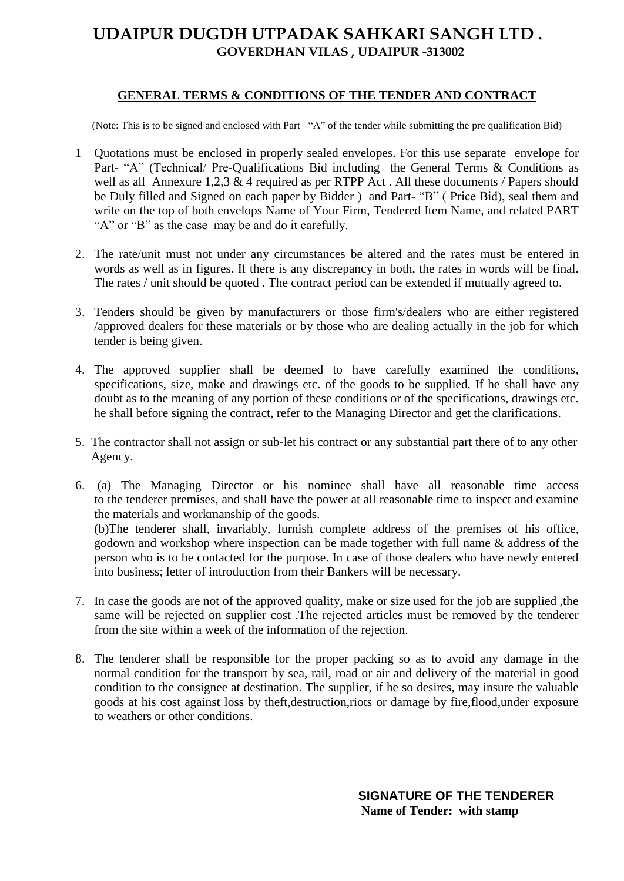# **UDAIPUR DUGDH UTPADAK SAHKARI SANGH LTD . GOVERDHAN VILAS , UDAIPUR -313002**

#### **GENERAL TERMS & CONDITIONS OF THE TENDER AND CONTRACT**

(Note: This is to be signed and enclosed with Part –"A" of the tender while submitting the pre qualification Bid)

- 1 Quotations must be enclosed in properly sealed envelopes. For this use separate envelope for Part- "A" (Technical/ Pre-Qualifications Bid including the General Terms & Conditions as well as all Annexure 1,2,3 & 4 required as per RTPP Act. All these documents / Papers should be Duly filled and Signed on each paper by Bidder ) and Part- "B" (Price Bid), seal them and write on the top of both envelops Name of Your Firm, Tendered Item Name, and related PART "A" or "B" as the case may be and do it carefully.
- 2. The rate/unit must not under any circumstances be altered and the rates must be entered in words as well as in figures. If there is any discrepancy in both, the rates in words will be final. The rates / unit should be quoted . The contract period can be extended if mutually agreed to.
- 3. Tenders should be given by manufacturers or those firm's/dealers who are either registered /approved dealers for these materials or by those who are dealing actually in the job for which tender is being given.
- 4. The approved supplier shall be deemed to have carefully examined the conditions, specifications, size, make and drawings etc. of the goods to be supplied. If he shall have any doubt as to the meaning of any portion of these conditions or of the specifications, drawings etc. he shall before signing the contract, refer to the Managing Director and get the clarifications.
- 5. The contractor shall not assign or sub-let his contract or any substantial part there of to any other Agency.
- 6. (a) The Managing Director or his nominee shall have all reasonable time access to the tenderer premises, and shall have the power at all reasonable time to inspect and examine the materials and workmanship of the goods. (b)The tenderer shall, invariably, furnish complete address of the premises of his office, godown and workshop where inspection can be made together with full name & address of the person who is to be contacted for the purpose. In case of those dealers who have newly entered into business; letter of introduction from their Bankers will be necessary.
- 7. In case the goods are not of the approved quality, make or size used for the job are supplied ,the same will be rejected on supplier cost .The rejected articles must be removed by the tenderer from the site within a week of the information of the rejection.
- 8. The tenderer shall be responsible for the proper packing so as to avoid any damage in the normal condition for the transport by sea, rail, road or air and delivery of the material in good condition to the consignee at destination. The supplier, if he so desires, may insure the valuable goods at his cost against loss by theft,destruction,riots or damage by fire,flood,under exposure to weathers or other conditions.

**SIGNATURE OF THE TENDERER Name of Tender: with stamp**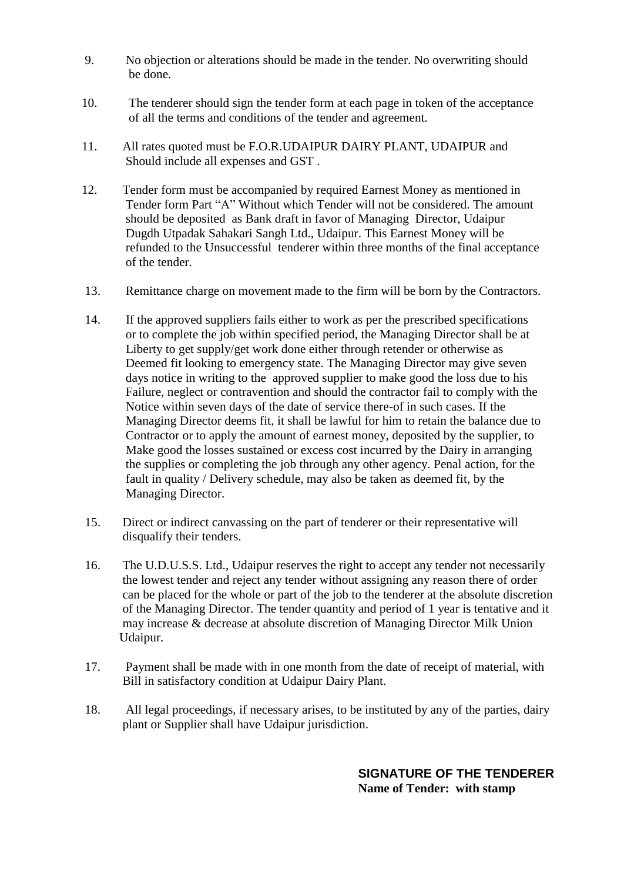- 9. No objection or alterations should be made in the tender. No overwriting should be done.
- 10. The tenderer should sign the tender form at each page in token of the acceptance of all the terms and conditions of the tender and agreement.
- 11. All rates quoted must be F.O.R.UDAIPUR DAIRY PLANT, UDAIPUR and Should include all expenses and GST .
- 12. Tender form must be accompanied by required Earnest Money as mentioned in Tender form Part "A" Without which Tender will not be considered. The amount should be deposited as Bank draft in favor of Managing Director, Udaipur Dugdh Utpadak Sahakari Sangh Ltd., Udaipur. This Earnest Money will be refunded to the Unsuccessful tenderer within three months of the final acceptance of the tender.
- 13. Remittance charge on movement made to the firm will be born by the Contractors.
- 14. If the approved suppliers fails either to work as per the prescribed specifications or to complete the job within specified period, the Managing Director shall be at Liberty to get supply/get work done either through retender or otherwise as Deemed fit looking to emergency state. The Managing Director may give seven days notice in writing to the approved supplier to make good the loss due to his Failure, neglect or contravention and should the contractor fail to comply with the Notice within seven days of the date of service there-of in such cases. If the Managing Director deems fit, it shall be lawful for him to retain the balance due to Contractor or to apply the amount of earnest money, deposited by the supplier, to Make good the losses sustained or excess cost incurred by the Dairy in arranging the supplies or completing the job through any other agency. Penal action, for the fault in quality / Delivery schedule, may also be taken as deemed fit, by the Managing Director.
- 15. Direct or indirect canvassing on the part of tenderer or their representative will disqualify their tenders.
- 16. The U.D.U.S.S. Ltd., Udaipur reserves the right to accept any tender not necessarily the lowest tender and reject any tender without assigning any reason there of order can be placed for the whole or part of the job to the tenderer at the absolute discretion of the Managing Director. The tender quantity and period of 1 year is tentative and it may increase & decrease at absolute discretion of Managing Director Milk Union Udaipur.
- 17. Payment shall be made with in one month from the date of receipt of material, with Bill in satisfactory condition at Udaipur Dairy Plant.
- 18. All legal proceedings, if necessary arises, to be instituted by any of the parties, dairy plant or Supplier shall have Udaipur jurisdiction.

**SIGNATURE OF THE TENDERER Name of Tender: with stamp**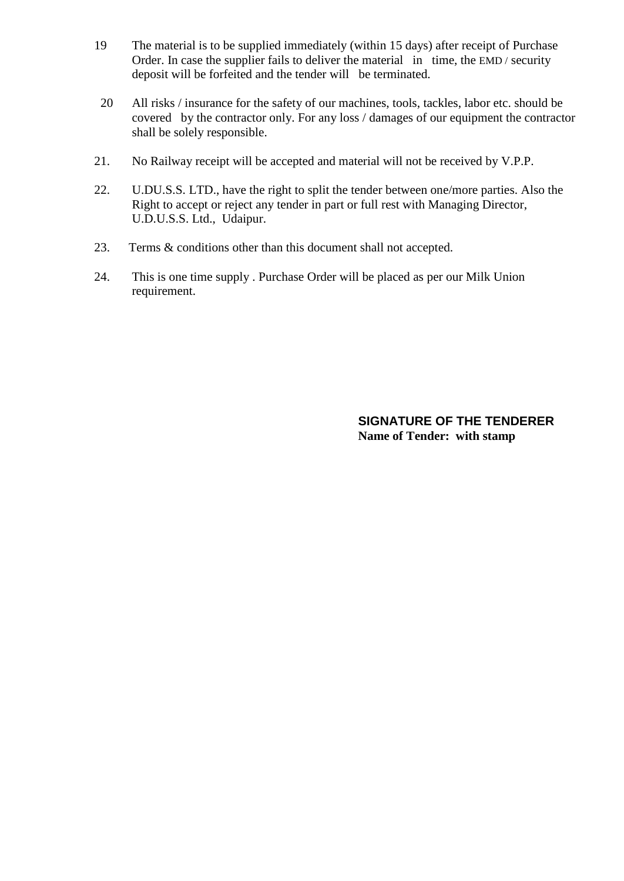- 19 The material is to be supplied immediately (within 15 days) after receipt of Purchase Order. In case the supplier fails to deliver the material in time, the EMD / security deposit will be forfeited and the tender will be terminated.
- 20 All risks / insurance for the safety of our machines, tools, tackles, labor etc. should be covered by the contractor only. For any loss / damages of our equipment the contractor shall be solely responsible.
- 21. No Railway receipt will be accepted and material will not be received by V.P.P.
- 22. U.DU.S.S. LTD., have the right to split the tender between one/more parties. Also the Right to accept or reject any tender in part or full rest with Managing Director, U.D.U.S.S. Ltd., Udaipur.
- 23. Terms & conditions other than this document shall not accepted.
- 24. This is one time supply . Purchase Order will be placed as per our Milk Union requirement.

**SIGNATURE OF THE TENDERER Name of Tender: with stamp**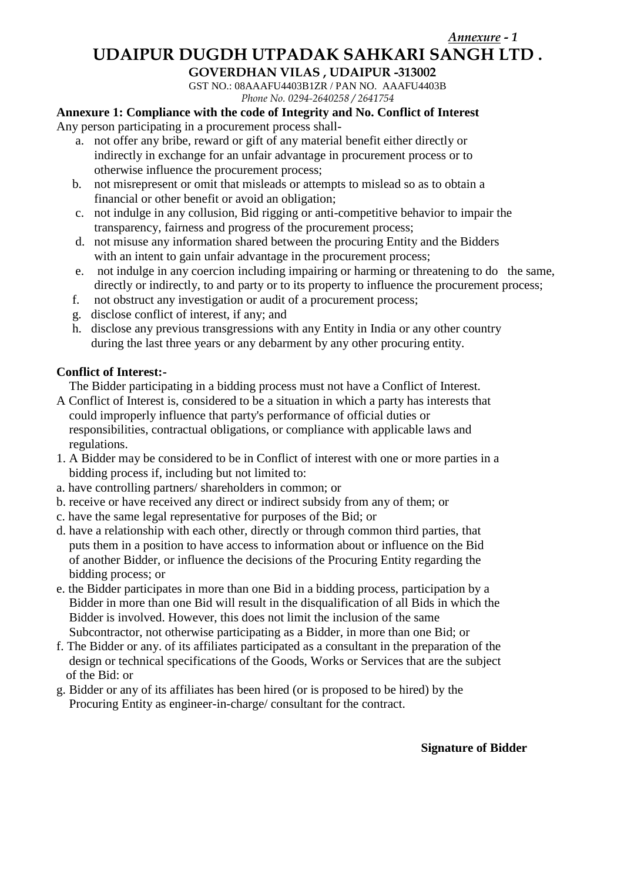## **UDAIPUR DUGDH UTPADAK SAHKARI SANGH LTD .**

#### **GOVERDHAN VILAS , UDAIPUR -313002**

GST NO.: 08AAAFU4403B1ZR / PAN NO. AAAFU4403B *Phone No. 0294-2640258 / 2641754*

### **Annexure 1: Compliance with the code of Integrity and No. Conflict of Interest**

Any person participating in a procurement process shall-

- a. not offer any bribe, reward or gift of any material benefit either directly or indirectly in exchange for an unfair advantage in procurement process or to otherwise influence the procurement process;
- b. not misrepresent or omit that misleads or attempts to mislead so as to obtain a financial or other benefit or avoid an obligation;
- c. not indulge in any collusion, Bid rigging or anti-competitive behavior to impair the transparency, fairness and progress of the procurement process;
- d. not misuse any information shared between the procuring Entity and the Bidders with an intent to gain unfair advantage in the procurement process;
- e. not indulge in any coercion including impairing or harming or threatening to do the same, directly or indirectly, to and party or to its property to influence the procurement process;
- f. not obstruct any investigation or audit of a procurement process;
- g. disclose conflict of interest, if any; and
- h. disclose any previous transgressions with any Entity in India or any other country during the last three years or any debarment by any other procuring entity.

### **Conflict of Interest:-**

The Bidder participating in a bidding process must not have a Conflict of Interest.

- A Conflict of Interest is, considered to be a situation in which a party has interests that could improperly influence that party's performance of official duties or responsibilities, contractual obligations, or compliance with applicable laws and regulations.
- 1. A Bidder may be considered to be in Conflict of interest with one or more parties in a bidding process if, including but not limited to:
- a. have controlling partners/ shareholders in common; or
- b. receive or have received any direct or indirect subsidy from any of them; or
- c. have the same legal representative for purposes of the Bid; or
- d. have a relationship with each other, directly or through common third parties, that puts them in a position to have access to information about or influence on the Bid of another Bidder, or influence the decisions of the Procuring Entity regarding the bidding process; or
- e. the Bidder participates in more than one Bid in a bidding process, participation by a Bidder in more than one Bid will result in the disqualification of all Bids in which the Bidder is involved. However, this does not limit the inclusion of the same Subcontractor, not otherwise participating as a Bidder, in more than one Bid; or
- f. The Bidder or any. of its affiliates participated as a consultant in the preparation of the design or technical specifications of the Goods, Works or Services that are the subject of the Bid: or
- g. Bidder or any of its affiliates has been hired (or is proposed to be hired) by the Procuring Entity as engineer-in-charge/ consultant for the contract.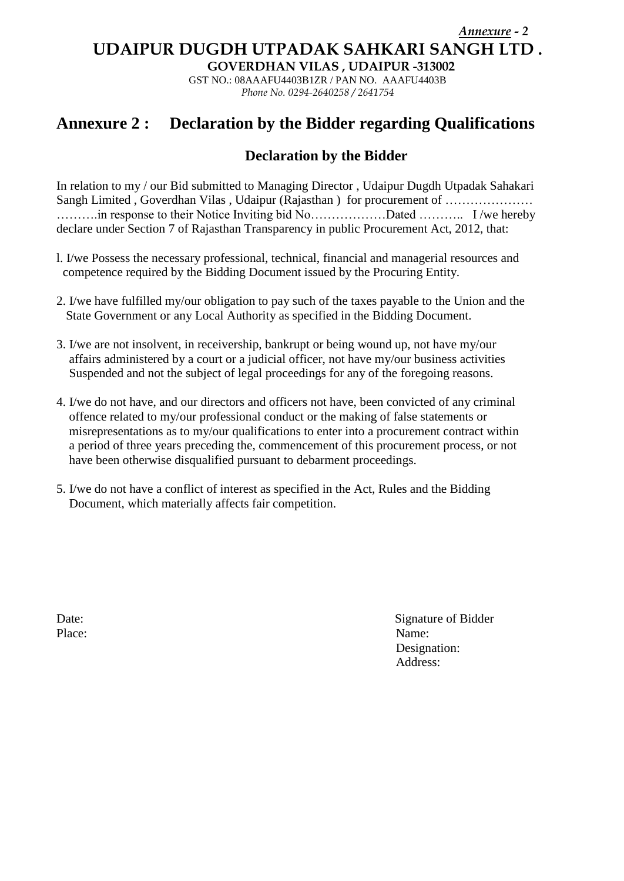### *Annexure - 2* **UDAIPUR DUGDH UTPADAK SAHKARI SANGH LTD .**

**GOVERDHAN VILAS , UDAIPUR -313002**

GST NO.: 08AAAFU4403B1ZR / PAN NO. AAAFU4403B *Phone No. 0294-2640258 / 2641754*

# **Annexure 2 : Declaration by the Bidder regarding Qualifications**

### **Declaration by the Bidder**

In relation to my / our Bid submitted to Managing Director , Udaipur Dugdh Utpadak Sahakari Sangh Limited , Goverdhan Vilas , Udaipur (Rajasthan ) for procurement of .......................... ……….in response to their Notice Inviting bid No………………Dated ……….. I /we hereby declare under Section 7 of Rajasthan Transparency in public Procurement Act, 2012, that:

- l. I/we Possess the necessary professional, technical, financial and managerial resources and competence required by the Bidding Document issued by the Procuring Entity.
- 2. I/we have fulfilled my/our obligation to pay such of the taxes payable to the Union and the State Government or any Local Authority as specified in the Bidding Document.
- 3. I/we are not insolvent, in receivership, bankrupt or being wound up, not have my/our affairs administered by a court or a judicial officer, not have my/our business activities Suspended and not the subject of legal proceedings for any of the foregoing reasons.
- 4. I/we do not have, and our directors and officers not have, been convicted of any criminal offence related to my/our professional conduct or the making of false statements or misrepresentations as to my/our qualifications to enter into a procurement contract within a period of three years preceding the, commencement of this procurement process, or not have been otherwise disqualified pursuant to debarment proceedings.
- 5. I/we do not have a conflict of interest as specified in the Act, Rules and the Bidding Document, which materially affects fair competition.

Date: Signature of Bidder Place: Name: Designation: Address: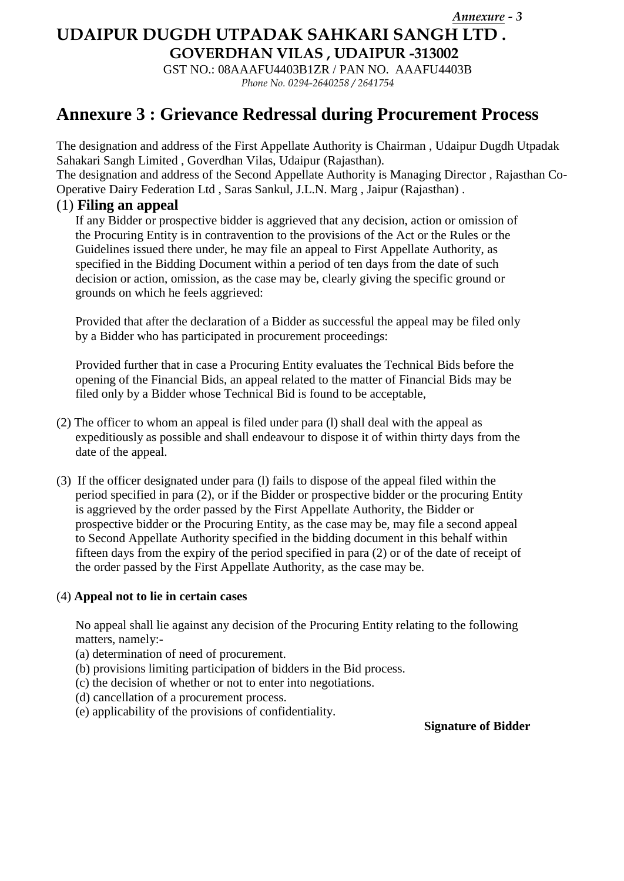*Annexure - 3*

# **UDAIPUR DUGDH UTPADAK SAHKARI SANGH LTD .**

**GOVERDHAN VILAS , UDAIPUR -313002**

GST NO.: 08AAAFU4403B1ZR / PAN NO. AAAFU4403B *Phone No. 0294-2640258 / 2641754*

# **Annexure 3 : Grievance Redressal during Procurement Process**

The designation and address of the First Appellate Authority is Chairman , Udaipur Dugdh Utpadak Sahakari Sangh Limited , Goverdhan Vilas, Udaipur (Rajasthan).

The designation and address of the Second Appellate Authority is Managing Director , Rajasthan Co-Operative Dairy Federation Ltd , Saras Sankul, J.L.N. Marg , Jaipur (Rajasthan) .

### (1) **Filing an appeal**

If any Bidder or prospective bidder is aggrieved that any decision, action or omission of the Procuring Entity is in contravention to the provisions of the Act or the Rules or the Guidelines issued there under, he may file an appeal to First Appellate Authority, as specified in the Bidding Document within a period of ten days from the date of such decision or action, omission, as the case may be, clearly giving the specific ground or grounds on which he feels aggrieved:

Provided that after the declaration of a Bidder as successful the appeal may be filed only by a Bidder who has participated in procurement proceedings:

Provided further that in case a Procuring Entity evaluates the Technical Bids before the opening of the Financial Bids, an appeal related to the matter of Financial Bids may be filed only by a Bidder whose Technical Bid is found to be acceptable,

- (2) The officer to whom an appeal is filed under para (l) shall deal with the appeal as expeditiously as possible and shall endeavour to dispose it of within thirty days from the date of the appeal.
- (3) If the officer designated under para (l) fails to dispose of the appeal filed within the period specified in para (2), or if the Bidder or prospective bidder or the procuring Entity is aggrieved by the order passed by the First Appellate Authority, the Bidder or prospective bidder or the Procuring Entity, as the case may be, may file a second appeal to Second Appellate Authority specified in the bidding document in this behalf within fifteen days from the expiry of the period specified in para (2) or of the date of receipt of the order passed by the First Appellate Authority, as the case may be.

#### (4) **Appeal not to lie in certain cases**

No appeal shall lie against any decision of the Procuring Entity relating to the following matters, namely:-

- (a) determination of need of procurement.
- (b) provisions limiting participation of bidders in the Bid process.
- (c) the decision of whether or not to enter into negotiations.
- (d) cancellation of a procurement process.
- (e) applicability of the provisions of confidentiality.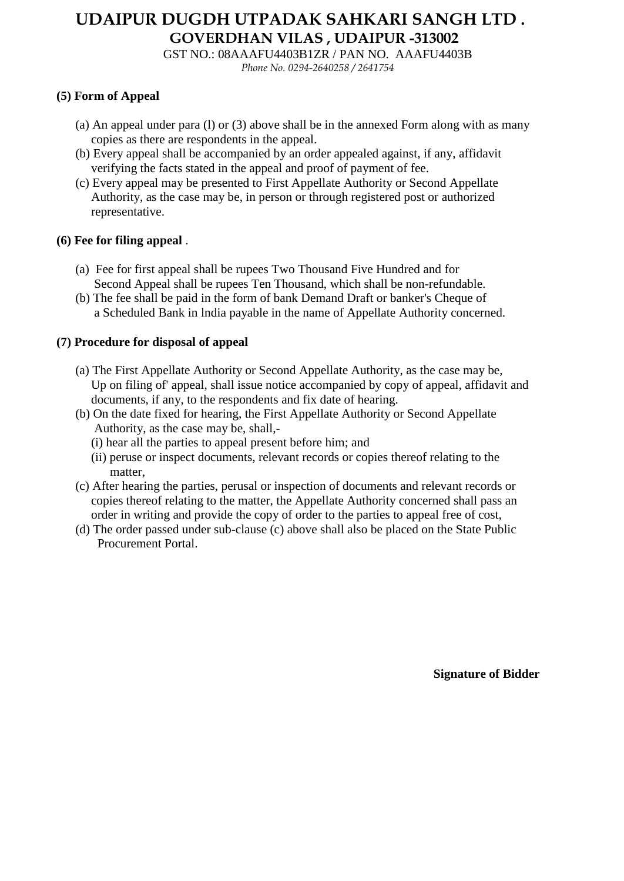# **UDAIPUR DUGDH UTPADAK SAHKARI SANGH LTD . GOVERDHAN VILAS , UDAIPUR -313002**

GST NO.: 08AAAFU4403B1ZR / PAN NO. AAAFU4403B *Phone No. 0294-2640258 / 2641754*

#### **(5) Form of Appeal**

- (a) An appeal under para (l) or (3) above shall be in the annexed Form along with as many copies as there are respondents in the appeal.
- (b) Every appeal shall be accompanied by an order appealed against, if any, affidavit verifying the facts stated in the appeal and proof of payment of fee.
- (c) Every appeal may be presented to First Appellate Authority or Second Appellate Authority, as the case may be, in person or through registered post or authorized representative.

### **(6) Fee for filing appeal** .

- (a) Fee for first appeal shall be rupees Two Thousand Five Hundred and for Second Appeal shall be rupees Ten Thousand, which shall be non-refundable.
- (b) The fee shall be paid in the form of bank Demand Draft or banker's Cheque of a Scheduled Bank in lndia payable in the name of Appellate Authority concerned.

### **(7) Procedure for disposal of appeal**

- (a) The First Appellate Authority or Second Appellate Authority, as the case may be, Up on filing of' appeal, shall issue notice accompanied by copy of appeal, affidavit and documents, if any, to the respondents and fix date of hearing.
- (b) On the date fixed for hearing, the First Appellate Authority or Second Appellate Authority, as the case may be, shall,-
	- (i) hear all the parties to appeal present before him; and
	- (ii) peruse or inspect documents, relevant records or copies thereof relating to the matter,
- (c) After hearing the parties, perusal or inspection of documents and relevant records or copies thereof relating to the matter, the Appellate Authority concerned shall pass an order in writing and provide the copy of order to the parties to appeal free of cost,
- (d) The order passed under sub-clause (c) above shall also be placed on the State Public Procurement Portal.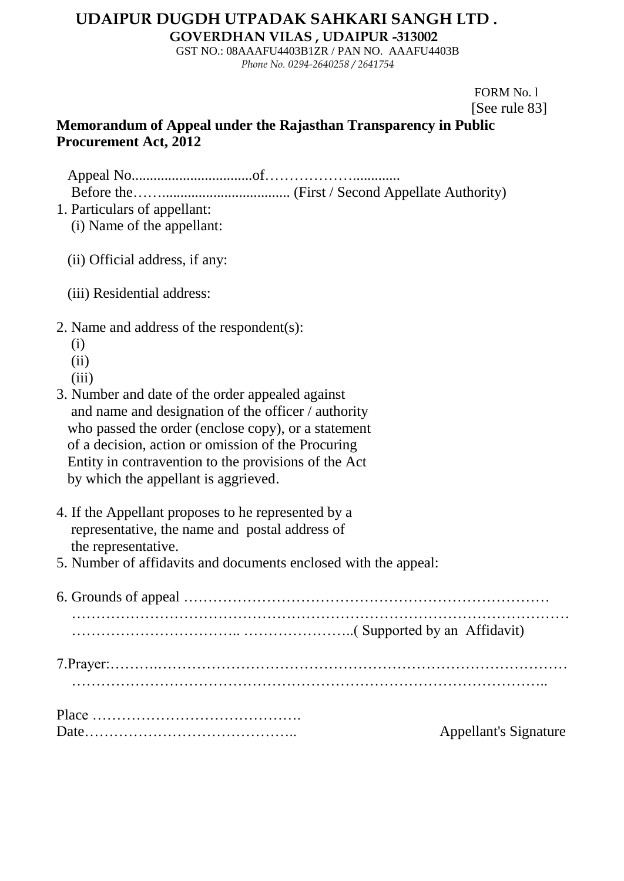# **UDAIPUR DUGDH UTPADAK SAHKARI SANGH LTD .**

**GOVERDHAN VILAS , UDAIPUR -313002**

GST NO.: 08AAAFU4403B1ZR / PAN NO. AAAFU4403B *Phone No. 0294-2640258 / 2641754*

> FORM No. l [See rule 83]

# **Memorandum of Appeal under the Rajasthan Transparency in Public Procurement Act, 2012**

 Appeal No.................................of………………............. Before the……................................... (First / Second Appellate Authority)

- 1. Particulars of appellant:
	- (i) Name of the appellant:
	- (ii) Official address, if any:
	- (iii) Residential address:
- 2. Name and address of the respondent(s):
	- (i)
	- $(ii)$
	- (iii)
- 3. Number and date of the order appealed against and name and designation of the officer / authority who passed the order (enclose copy), or a statement of a decision, action or omission of the Procuring Entity in contravention to the provisions of the Act by which the appellant is aggrieved.
- 4. If the Appellant proposes to he represented by a representative, the name and postal address of the representative.
- 5. Number of affidavits and documents enclosed with the appeal:

| <b>Appellant's Signature</b> |  |  |
|------------------------------|--|--|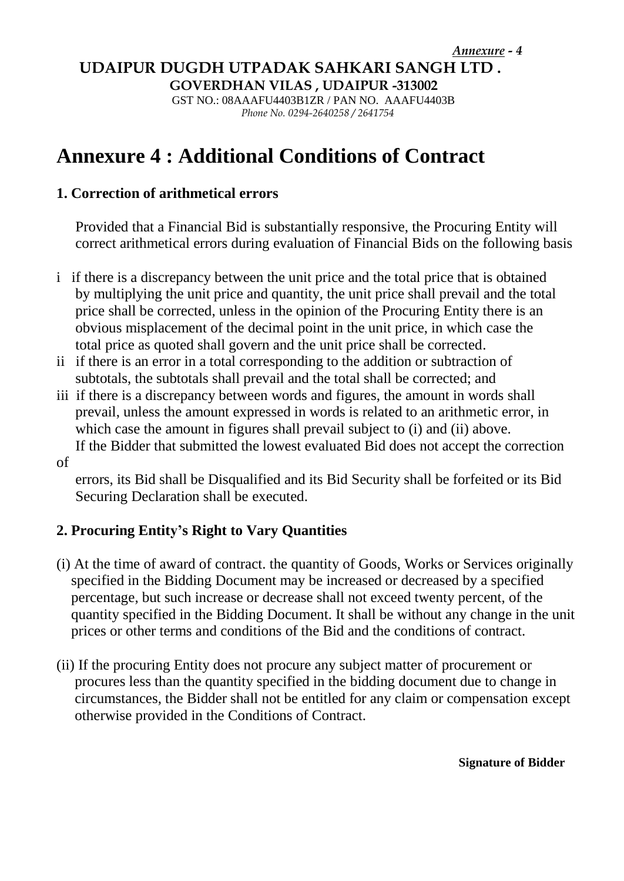## **UDAIPUR DUGDH UTPADAK SAHKARI SANGH LTD .**

**GOVERDHAN VILAS , UDAIPUR -313002**

 GST NO.: 08AAAFU4403B1ZR / PAN NO. AAAFU4403B *Phone No. 0294-2640258 / 2641754*

# **Annexure 4 : Additional Conditions of Contract**

### **1. Correction of arithmetical errors**

Provided that a Financial Bid is substantially responsive, the Procuring Entity will correct arithmetical errors during evaluation of Financial Bids on the following basis

- i if there is a discrepancy between the unit price and the total price that is obtained by multiplying the unit price and quantity, the unit price shall prevail and the total price shall be corrected, unless in the opinion of the Procuring Entity there is an obvious misplacement of the decimal point in the unit price, in which case the total price as quoted shall govern and the unit price shall be corrected.
- ii if there is an error in a total corresponding to the addition or subtraction of subtotals, the subtotals shall prevail and the total shall be corrected; and
- iii if there is a discrepancy between words and figures, the amount in words shall prevail, unless the amount expressed in words is related to an arithmetic error, in which case the amount in figures shall prevail subject to (i) and (ii) above. If the Bidder that submitted the lowest evaluated Bid does not accept the correction
- of

errors, its Bid shall be Disqualified and its Bid Security shall be forfeited or its Bid Securing Declaration shall be executed.

## **2. Procuring Entity's Right to Vary Quantities**

- (i) At the time of award of contract. the quantity of Goods, Works or Services originally specified in the Bidding Document may be increased or decreased by a specified percentage, but such increase or decrease shall not exceed twenty percent, of the quantity specified in the Bidding Document. It shall be without any change in the unit prices or other terms and conditions of the Bid and the conditions of contract.
- (ii) If the procuring Entity does not procure any subject matter of procurement or procures less than the quantity specified in the bidding document due to change in circumstances, the Bidder shall not be entitled for any claim or compensation except otherwise provided in the Conditions of Contract.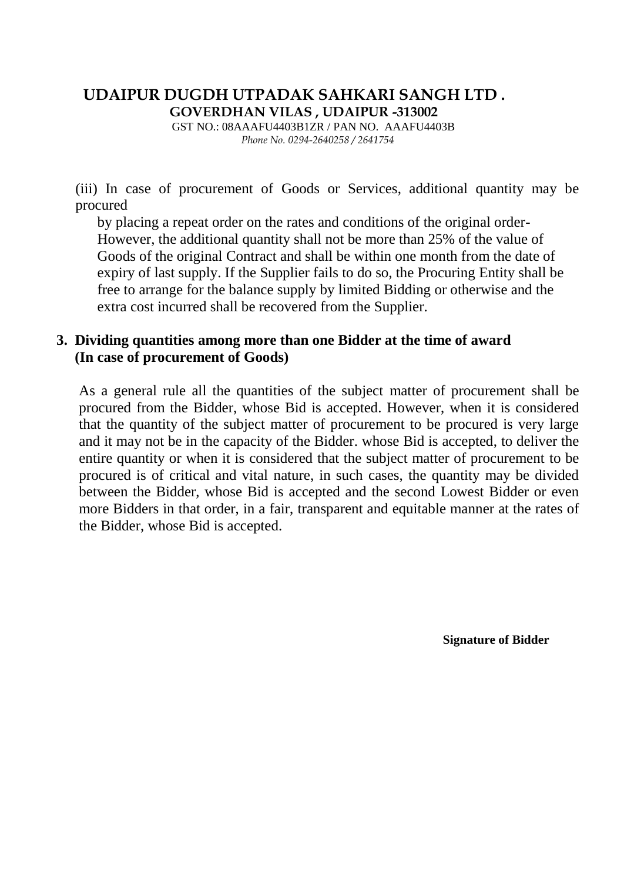# **UDAIPUR DUGDH UTPADAK SAHKARI SANGH LTD . GOVERDHAN VILAS , UDAIPUR -313002**

 GST NO.: 08AAAFU4403B1ZR / PAN NO. AAAFU4403B *Phone No. 0294-2640258 / 2641754*

(iii) In case of procurement of Goods or Services, additional quantity may be procured

 by placing a repeat order on the rates and conditions of the original order- However, the additional quantity shall not be more than 25% of the value of Goods of the original Contract and shall be within one month from the date of expiry of last supply. If the Supplier fails to do so, the Procuring Entity shall be free to arrange for the balance supply by limited Bidding or otherwise and the extra cost incurred shall be recovered from the Supplier.

### **3. Dividing quantities among more than one Bidder at the time of award (In case of procurement of Goods)**

As a general rule all the quantities of the subject matter of procurement shall be procured from the Bidder, whose Bid is accepted. However, when it is considered that the quantity of the subject matter of procurement to be procured is very large and it may not be in the capacity of the Bidder. whose Bid is accepted, to deliver the entire quantity or when it is considered that the subject matter of procurement to be procured is of critical and vital nature, in such cases, the quantity may be divided between the Bidder, whose Bid is accepted and the second Lowest Bidder or even more Bidders in that order, in a fair, transparent and equitable manner at the rates of the Bidder, whose Bid is accepted.